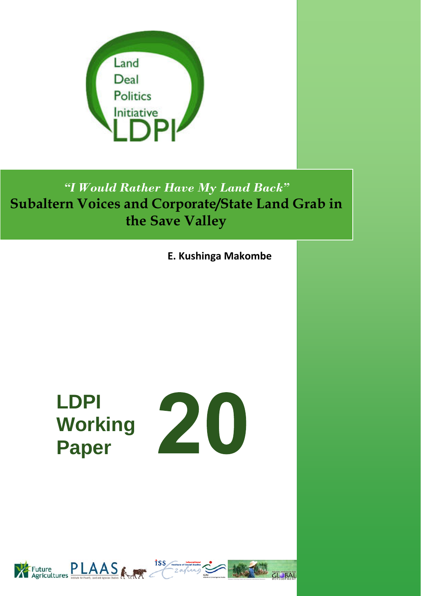

*"I Would Rather Have My Land Back"*  **Subaltern Voices and Corporate/State Land Grab in the Save Valley**

**E. Kushinga Makombe**

**LDPI Working Paper** 





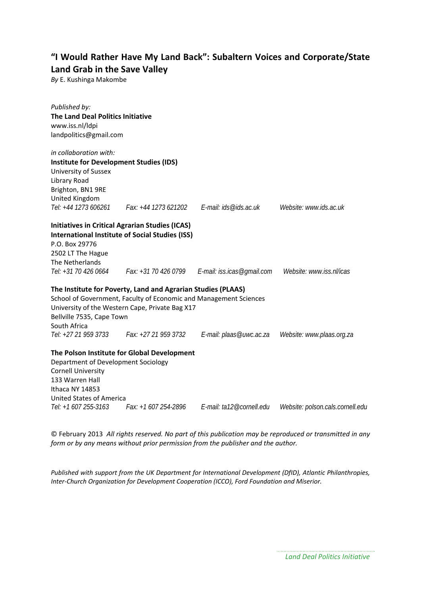#### **"I Would Rather Have My Land Back": Subaltern Voices and Corporate/State Land Grab in the Save Valley**

*By* E. Kushinga Makombe

| Published by:<br><b>The Land Deal Politics Initiative</b><br>www.iss.nl/ldpi<br>landpolitics@gmail.com |                                                                                                                                                                                      |                                                                      |                                  |
|--------------------------------------------------------------------------------------------------------|--------------------------------------------------------------------------------------------------------------------------------------------------------------------------------------|----------------------------------------------------------------------|----------------------------------|
| in collaboration with:                                                                                 |                                                                                                                                                                                      |                                                                      |                                  |
| <b>Institute for Development Studies (IDS)</b>                                                         |                                                                                                                                                                                      |                                                                      |                                  |
| University of Sussex<br>Library Road                                                                   |                                                                                                                                                                                      |                                                                      |                                  |
| Brighton, BN1 9RE                                                                                      |                                                                                                                                                                                      |                                                                      |                                  |
| United Kingdom                                                                                         |                                                                                                                                                                                      |                                                                      |                                  |
|                                                                                                        | Tel: +44 1273 606261   Fax: +44 1273 621202   E-mail: ids@ids.ac.uk                                                                                                                  |                                                                      | Website: www.ids.ac.uk           |
|                                                                                                        | <b>Initiatives in Critical Agrarian Studies (ICAS)</b>                                                                                                                               |                                                                      |                                  |
|                                                                                                        | <b>International Institute of Social Studies (ISS)</b>                                                                                                                               |                                                                      |                                  |
| P.O. Box 29776                                                                                         |                                                                                                                                                                                      |                                                                      |                                  |
| 2502 LT The Hague                                                                                      |                                                                                                                                                                                      |                                                                      |                                  |
| The Netherlands                                                                                        |                                                                                                                                                                                      | Tel: +31 70 426 0664 Fax: +31 70 426 0799 E-mail: iss.icas@gmail.com | Website: www.iss.nl/icas         |
| Bellville 7535, Cape Town<br>South Africa                                                              | The Institute for Poverty, Land and Agrarian Studies (PLAAS)<br>School of Government, Faculty of Economic and Management Sciences<br>University of the Western Cape, Private Bag X17 |                                                                      |                                  |
| Tel: +27 21 959 3733                                                                                   | Fax: +27 21 959 3732                                                                                                                                                                 | E-mail: plaas@uwc.ac.za                                              | Website: www.plaas.org.za        |
|                                                                                                        | The Polson Institute for Global Development                                                                                                                                          |                                                                      |                                  |
| Department of Development Sociology                                                                    |                                                                                                                                                                                      |                                                                      |                                  |
| <b>Cornell University</b>                                                                              |                                                                                                                                                                                      |                                                                      |                                  |
| 133 Warren Hall                                                                                        |                                                                                                                                                                                      |                                                                      |                                  |
| Ithaca NY 14853<br><b>United States of America</b>                                                     |                                                                                                                                                                                      |                                                                      |                                  |
| Tel: +1 607 255-3163                                                                                   | Fax: +1 607 254-2896                                                                                                                                                                 | E-mail: ta12@cornell.edu                                             | Website: polson.cals.cornell.edu |
|                                                                                                        |                                                                                                                                                                                      |                                                                      |                                  |

© February 2013 *All rights reserved. No part of this publication may be reproduced or transmitted in any form or by any means without prior permission from the publisher and the author.*

*Published with support from the UK Department for International Development (DfID), Atlantic Philanthropies, Inter‐Church Organization for Development Cooperation (ICCO), Ford Foundation and Miserior.*

*Land Deal Politics Initiative*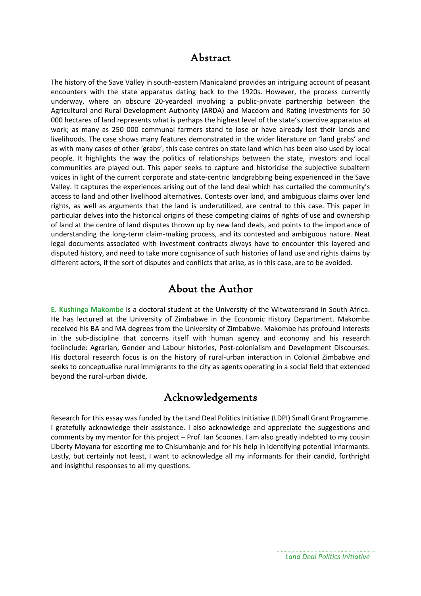#### Abstract

The history of the Save Valley in south‐eastern Manicaland provides an intriguing account of peasant encounters with the state apparatus dating back to the 1920s. However, the process currently underway, where an obscure 20‐yeardeal involving a public‐private partnership between the Agricultural and Rural Development Authority (ARDA) and Macdom and Rating Investments for 50 000 hectares of land represents what is perhaps the highest level of the state's coercive apparatus at work; as many as 250 000 communal farmers stand to lose or have already lost their lands and livelihoods. The case shows many features demonstrated in the wider literature on 'land grabs' and as with many cases of other 'grabs', this case centres on state land which has been also used by local people. It highlights the way the politics of relationships between the state, investors and local communities are played out. This paper seeks to capture and historicise the subjective subaltern voices in light of the current corporate and state‐centric landgrabbing being experienced in the Save Valley. It captures the experiences arising out of the land deal which has curtailed the community's access to land and other livelihood alternatives. Contests over land, and ambiguous claims over land rights, as well as arguments that the land is underutilized, are central to this case. This paper in particular delves into the historical origins of these competing claims of rights of use and ownership of land at the centre of land disputes thrown up by new land deals, and points to the importance of understanding the long‐term claim‐making process, and its contested and ambiguous nature. Neat legal documents associated with investment contracts always have to encounter this layered and disputed history, and need to take more cognisance of such histories of land use and rights claims by different actors, if the sort of disputes and conflicts that arise, as in this case, are to be avoided.

## About the Author

**E. Kushinga Makombe** is a doctoral student at the University of the Witwatersrand in South Africa. He has lectured at the University of Zimbabwe in the Economic History Department. Makombe received his BA and MA degrees from the University of Zimbabwe. Makombe has profound interests in the sub-discipline that concerns itself with human agency and economy and his research fociinclude: Agrarian, Gender and Labour histories, Post-colonialism and Development Discourses. His doctoral research focus is on the history of rural-urban interaction in Colonial Zimbabwe and seeks to conceptualise rural immigrants to the city as agents operating in a social field that extended beyond the rural‐urban divide.

## Acknowledgements

Research for this essay was funded by the Land Deal Politics Initiative (LDPI) Small Grant Programme. I gratefully acknowledge their assistance. I also acknowledge and appreciate the suggestions and comments by my mentor for this project – Prof. Ian Scoones. I am also greatly indebted to my cousin Liberty Moyana for escorting me to Chisumbanje and for his help in identifying potential informants. Lastly, but certainly not least, I want to acknowledge all my informants for their candid, forthright and insightful responses to all my questions.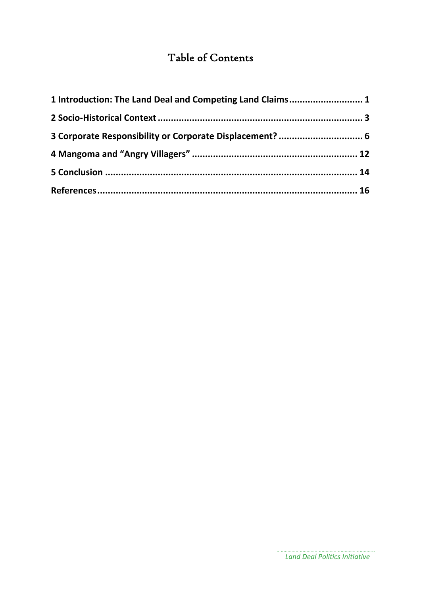# Table of Contents

| 1 Introduction: The Land Deal and Competing Land Claims 1 |  |
|-----------------------------------------------------------|--|
|                                                           |  |
| 3 Corporate Responsibility or Corporate Displacement?  6  |  |
|                                                           |  |
|                                                           |  |
|                                                           |  |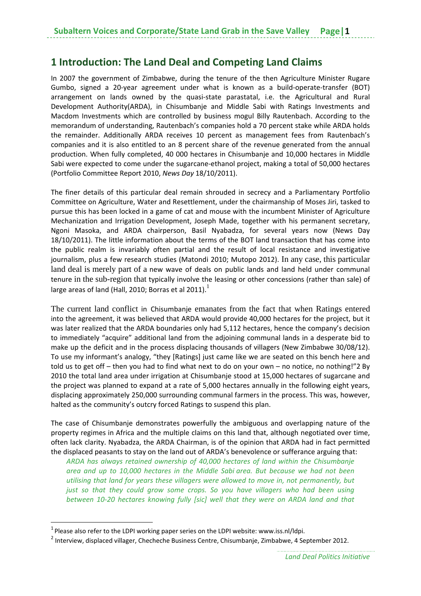## **1 Introduction: The Land Deal and Competing Land Claims**

In 2007 the government of Zimbabwe, during the tenure of the then Agriculture Minister Rugare Gumbo, signed a 20‐year agreement under what is known as a build‐operate‐transfer (BOT) arrangement on lands owned by the quasi‐state parastatal, i.e. the Agricultural and Rural Development Authority(ARDA), in Chisumbanje and Middle Sabi with Ratings Investments and Macdom Investments which are controlled by business mogul Billy Rautenbach. According to the memorandum of understanding, Rautenbach's companies hold a 70 percent stake while ARDA holds the remainder. Additionally ARDA receives 10 percent as management fees from Rautenbach's companies and it is also entitled to an 8 percent share of the revenue generated from the annual production. When fully completed, 40 000 hectares in Chisumbanje and 10,000 hectares in Middle Sabi were expected to come under the sugarcane‐ethanol project, making a total of 50,000 hectares (Portfolio Committee Report 2010, *News Day* 18/10/2011).

The finer details of this particular deal remain shrouded in secrecy and a Parliamentary Portfolio Committee on Agriculture, Water and Resettlement, under the chairmanship of Moses Jiri, tasked to pursue this has been locked in a game of cat and mouse with the incumbent Minister of Agriculture Mechanization and Irrigation Development, Joseph Made, together with his permanent secretary, Ngoni Masoka, and ARDA chairperson, Basil Nyabadza, for several years now (News Day 18/10/2011). The little information about the terms of the BOT land transaction that has come into the public realm is invariably often partial and the result of local resistance and investigative journalism, plus a few research studies (Matondi 2010; Mutopo 2012). In any case, this particular land deal is merely part of a new wave of deals on public lands and land held under communal tenure in the sub-region that typically involve the leasing or other concessions (rather than sale) of large areas of land (Hall, 2010; Borras et al 2011).<sup>1</sup>

The current land conflict in Chisumbanje emanates from the fact that when Ratings entered into the agreement, it was believed that ARDA would provide 40,000 hectares for the project, but it was later realized that the ARDA boundaries only had 5,112 hectares, hence the company's decision to immediately "acquire" additional land from the adjoining communal lands in a desperate bid to make up the deficit and in the process displacing thousands of villagers (New Zimbabwe 30/08/12). To use my informant's analogy, "they [Ratings] just came like we are seated on this bench here and told us to get off – then you had to find what next to do on your own – no notice, no nothing!"2 By 2010 the total land area under irrigation at Chisumbanje stood at 15,000 hectares of sugarcane and the project was planned to expand at a rate of 5,000 hectares annually in the following eight years, displacing approximately 250,000 surrounding communal farmers in the process. This was, however, halted as the community's outcry forced Ratings to suspend this plan.

The case of Chisumbanje demonstrates powerfully the ambiguous and overlapping nature of the property regimes in Africa and the multiple claims on this land that, although negotiated over time, often lack clarity. Nyabadza, the ARDA Chairman, is of the opinion that ARDA had in fact permitted the displaced peasants to stay on the land out of ARDA's benevolence or sufferance arguing that:

*ARDA has always retained ownership of 40,000 hectares of land within the Chisumbanje area and up to 10,000 hectares in the Middle Sabi area. But because we had not been utilising that land for years these villagers were allowed to move in, not permanently, but just so that they could grow some crops. So you have villagers who had been using between 10‐20 hectares knowing fully [sic] well that they were on ARDA land and that*

 $1$  Please also refer to the LDPI working paper series on the LDPI website: www.iss.nl/ldpi.

<sup>&</sup>lt;sup>2</sup> Interview, displaced villager, Checheche Business Centre, Chisumbanje, Zimbabwe, 4 September 2012.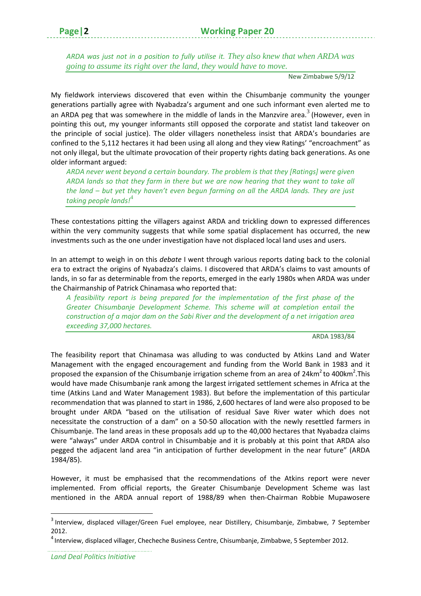*ARDA was just not in a position to fully utilise it. They also knew that when ARDA was going to assume its right over the land, they would have to move.*

New Zimbabwe 5/9/12

My fieldwork interviews discovered that even within the Chisumbanje community the younger generations partially agree with Nyabadza's argument and one such informant even alerted me to an ARDA peg that was somewhere in the middle of lands in the Manzvire area.<sup>3</sup> (However, even in pointing this out, my younger informants still opposed the corporate and statist land takeover on the principle of social justice). The older villagers nonetheless insist that ARDA's boundaries are confined to the 5,112 hectares it had been using all along and they view Ratings' "encroachment" as not only illegal, but the ultimate provocation of their property rights dating back generations. As one older informant argued:

*ARDA never went beyond a certain boundary. The problem is that they [Ratings] were given ARDA lands so that they farm in there but we are now hearing that they want to take all the land – but yet they haven't even begun farming on all the ARDA lands. They are just taking people lands!*<sup>4</sup>

These contestations pitting the villagers against ARDA and trickling down to expressed differences within the very community suggests that while some spatial displacement has occurred, the new investments such as the one under investigation have not displaced local land uses and users.

In an attempt to weigh in on this *debate* I went through various reports dating back to the colonial era to extract the origins of Nyabadza's claims. I discovered that ARDA's claims to vast amounts of lands, in so far as determinable from the reports, emerged in the early 1980s when ARDA was under the Chairmanship of Patrick Chinamasa who reported that:

*A feasibility report is being prepared for the implementation of the first phase of the Greater Chisumbanje Development Scheme. This scheme will at completion entail the construction of a major dam on the Sabi River and the development of a net irrigation area exceeding 37,000 hectares.*

ARDA 1983/84

The feasibility report that Chinamasa was alluding to was conducted by Atkins Land and Water Management with the engaged encouragement and funding from the World Bank in 1983 and it proposed the expansion of the Chisumbanje irrigation scheme from an area of 24km<sup>2</sup> to 400km<sup>2</sup>. This would have made Chisumbanje rank among the largest irrigated settlement schemes in Africa at the time (Atkins Land and Water Management 1983). But before the implementation of this particular recommendation that was planned to start in 1986, 2,600 hectares of land were also proposed to be brought under ARDA "based on the utilisation of residual Save River water which does not necessitate the construction of a dam" on a 50‐50 allocation with the newly resettled farmers in Chisumbanje. The land areas in these proposals add up to the 40,000 hectares that Nyabadza claims were "always" under ARDA control in Chisumbabje and it is probably at this point that ARDA also pegged the adjacent land area "in anticipation of further development in the near future" (ARDA 1984/85).

However, it must be emphasised that the recommendations of the Atkins report were never implemented. From official reports, the Greater Chisumbanje Development Scheme was last mentioned in the ARDA annual report of 1988/89 when then‐Chairman Robbie Mupawosere

<sup>3</sup> Interview, displaced villager/Green Fuel employee, near Distillery, Chisumbanje, Zimbabwe, 7 September 2012.

<sup>4</sup> Interview, displaced villager, Checheche Business Centre, Chisumbanje, Zimbabwe, 5 September 2012.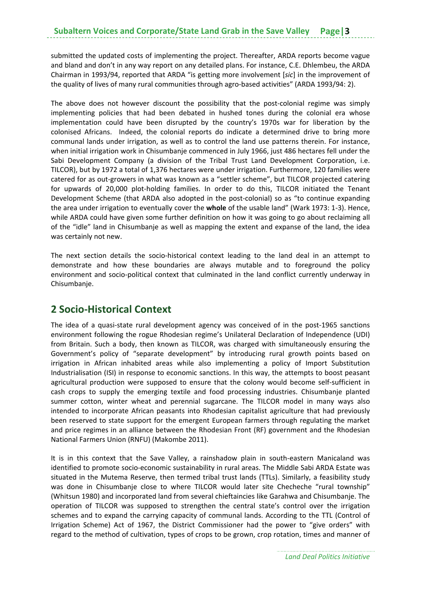submitted the updated costs of implementing the project. Thereafter, ARDA reports become vague and bland and don't in any way report on any detailed plans. For instance, C.E. Dhlembeu, the ARDA Chairman in 1993/94, reported that ARDA "is getting more involvement [*sic*] in the improvement of the quality of lives of many rural communities through agro-based activities" (ARDA 1993/94: 2).

The above does not however discount the possibility that the post-colonial regime was simply implementing policies that had been debated in hushed tones during the colonial era whose implementation could have been disrupted by the country's 1970s war for liberation by the colonised Africans. Indeed, the colonial reports do indicate a determined drive to bring more communal lands under irrigation, as well as to control the land use patterns therein. For instance, when initial irrigation work in Chisumbanje commenced in July 1966, just 486 hectares fell under the Sabi Development Company (a division of the Tribal Trust Land Development Corporation, i.e. TILCOR), but by 1972 a total of 1,376 hectares were under irrigation. Furthermore, 120 families were catered for as out‐growers in what was known as a "settler scheme", but TILCOR projected catering for upwards of 20,000 plot-holding families. In order to do this, TILCOR initiated the Tenant Development Scheme (that ARDA also adopted in the post-colonial) so as "to continue expanding the area under irrigation to eventually cover the **whole** of the usable land" (Wark 1973: 1‐3). Hence, while ARDA could have given some further definition on how it was going to go about reclaiming all of the "idle" land in Chisumbanje as well as mapping the extent and expanse of the land, the idea was certainly not new.

The next section details the socio-historical context leading to the land deal in an attempt to demonstrate and how these boundaries are always mutable and to foreground the policy environment and socio-political context that culminated in the land conflict currently underway in Chisumbanje.

## **2 Socio‐Historical Context**

The idea of a quasi-state rural development agency was conceived of in the post-1965 sanctions environment following the rogue Rhodesian regime's Unilateral Declaration of Independence (UDI) from Britain. Such a body, then known as TILCOR, was charged with simultaneously ensuring the Government's policy of "separate development" by introducing rural growth points based on irrigation in African inhabited areas while also implementing a policy of Import Substitution Industrialisation (ISI) in response to economic sanctions. In this way, the attempts to boost peasant agricultural production were supposed to ensure that the colony would become self-sufficient in cash crops to supply the emerging textile and food processing industries. Chisumbanje planted summer cotton, winter wheat and perennial sugarcane. The TILCOR model in many ways also intended to incorporate African peasants into Rhodesian capitalist agriculture that had previously been reserved to state support for the emergent European farmers through regulating the market and price regimes in an alliance between the Rhodesian Front (RF) government and the Rhodesian National Farmers Union (RNFU) (Makombe 2011).

It is in this context that the Save Valley, a rainshadow plain in south‐eastern Manicaland was identified to promote socio-economic sustainability in rural areas. The Middle Sabi ARDA Estate was situated in the Mutema Reserve, then termed tribal trust lands (TTLs). Similarly, a feasibility study was done in Chisumbanje close to where TILCOR would later site Checheche "rural township" (Whitsun 1980) and incorporated land from several chieftaincies like Garahwa and Chisumbanje. The operation of TILCOR was supposed to strengthen the central state's control over the irrigation schemes and to expand the carrying capacity of communal lands. According to the TTL (Control of Irrigation Scheme) Act of 1967, the District Commissioner had the power to "give orders" with regard to the method of cultivation, types of crops to be grown, crop rotation, times and manner of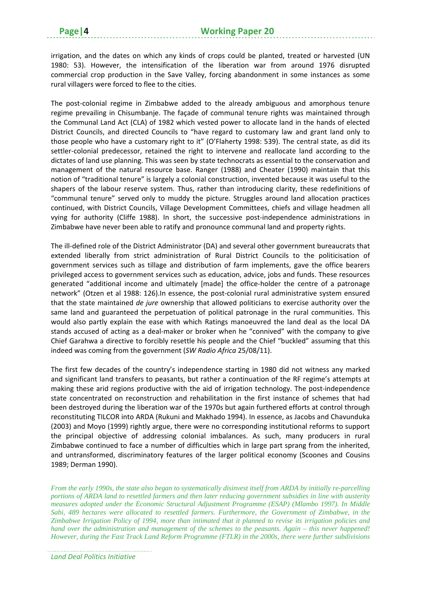irrigation, and the dates on which any kinds of crops could be planted, treated or harvested (UN 1980: 53). However, the intensification of the liberation war from around 1976 disrupted commercial crop production in the Save Valley, forcing abandonment in some instances as some rural villagers were forced to flee to the cities.

The post-colonial regime in Zimbabwe added to the already ambiguous and amorphous tenure regime prevailing in Chisumbanje. The façade of communal tenure rights was maintained through the Communal Land Act (CLA) of 1982 which vested power to allocate land in the hands of elected District Councils, and directed Councils to "have regard to customary law and grant land only to those people who have a customary right to it" (O'Flaherty 1998: 539). The central state, as did its settler-colonial predecessor, retained the right to intervene and reallocate land according to the dictates of land use planning. This was seen by state technocrats as essential to the conservation and management of the natural resource base. Ranger (1988) and Cheater (1990) maintain that this notion of "traditional tenure" is largely a colonial construction, invented because it was useful to the shapers of the labour reserve system. Thus, rather than introducing clarity, these redefinitions of "communal tenure" served only to muddy the picture. Struggles around land allocation practices continued, with District Councils, Village Development Committees, chiefs and village headmen all vying for authority (Cliffe 1988). In short, the successive post-independence administrations in Zimbabwe have never been able to ratify and pronounce communal land and property rights.

The ill‐defined role of the District Administrator (DA) and several other government bureaucrats that extended liberally from strict administration of Rural District Councils to the politicisation of government services such as tillage and distribution of farm implements, gave the office bearers privileged access to government services such as education, advice, jobs and funds. These resources generated "additional income and ultimately [made] the office‐holder the centre of a patronage network" (Otzen et al 1988: 126). In essence, the post-colonial rural administrative system ensured that the state maintained *de jure* ownership that allowed politicians to exercise authority over the same land and guaranteed the perpetuation of political patronage in the rural communities. This would also partly explain the ease with which Ratings manoeuvred the land deal as the local DA stands accused of acting as a deal‐maker or broker when he "connived" with the company to give Chief Garahwa a directive to forcibly resettle his people and the Chief "buckled" assuming that this indeed was coming from the government (*SW Radio Africa* 25/08/11).

The first few decades of the country's independence starting in 1980 did not witness any marked and significant land transfers to peasants, but rather a continuation of the RF regime's attempts at making these arid regions productive with the aid of irrigation technology. The post-independence state concentrated on reconstruction and rehabilitation in the first instance of schemes that had been destroyed during the liberation war of the 1970s but again furthered efforts at control through reconstituting TILCOR into ARDA (Rukuni and Makhado 1994). In essence, as Jacobs and Chavunduka (2003) and Moyo (1999) rightly argue, there were no corresponding institutional reforms to support the principal objective of addressing colonial imbalances. As such, many producers in rural Zimbabwe continued to face a number of difficulties which in large part sprang from the inherited, and untransformed, discriminatory features of the larger political economy (Scoones and Cousins 1989; Derman 1990).

*From the early 1990s, the state also began to systematically disinvest itself from ARDA by initially re-parcelling portions of ARDA land to resettled farmers and then later reducing government subsidies in line with austerity measures adopted under the Economic Structural Adjustment Programme (ESAP) (Mlambo 1997). In Middle Sabi, 489 hectares were allocated to resettled farmers. Furthermore, the Government of Zimbabwe, in the Zimbabwe Irrigation Policy of 1994, more than intimated that it planned to revise its irrigation policies and hand over the administration and management of the schemes to the peasants. Again – this never happened! However, during the Fast Track Land Reform Programme (FTLR) in the 2000s, there were further subdivisions* 

*Land Deal Politics Initiative*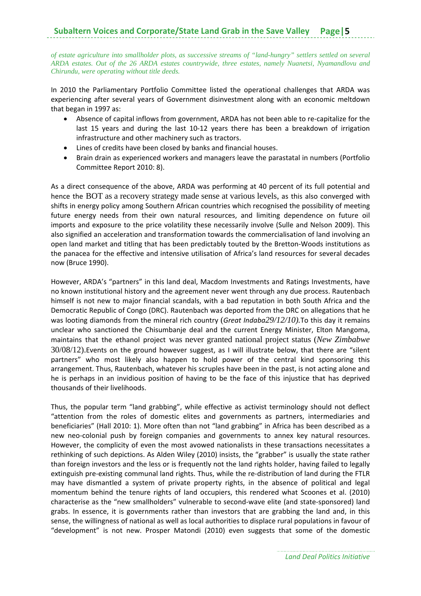#### **Subaltern Voices and Corporate/State Land Grab in the Save Valley**

*of estate agriculture into smallholder plots, as successive streams of "land-hungry" settlers settled on several ARDA estates. Out of the 26 ARDA estates countrywide, three estates, namely Nuanetsi, Nyamandlovu and Chirundu, were operating without title deeds.* 

In 2010 the Parliamentary Portfolio Committee listed the operational challenges that ARDA was experiencing after several years of Government disinvestment along with an economic meltdown that began in 1997 as:

- Absence of capital inflows from government, ARDA has not been able to re‐capitalize for the last 15 years and during the last 10‐12 years there has been a breakdown of irrigation infrastructure and other machinery such as tractors.
- Lines of credits have been closed by banks and financial houses.
- Brain drain as experienced workers and managers leave the parastatal in numbers (Portfolio Committee Report 2010: 8).

As a direct consequence of the above, ARDA was performing at 40 percent of its full potential and hence the BOT as a recovery strategy made sense at various levels, as this also converged with shifts in energy policy among Southern African countries which recognised the possibility of meeting future energy needs from their own natural resources, and limiting dependence on future oil imports and exposure to the price volatility these necessarily involve (Sulle and Nelson 2009). This also signified an acceleration and transformation towards the commercialisation of land involving an open land market and titling that has been predictably touted by the Bretton‐Woods institutions as the panacea for the effective and intensive utilisation of Africa's land resources for several decades now (Bruce 1990).

However, ARDA's "partners" in this land deal, Macdom Investments and Ratings Investments, have no known institutional history and the agreement never went through any due process. Rautenbach himself is not new to major financial scandals, with a bad reputation in both South Africa and the Democratic Republic of Congo (DRC). Rautenbach was deported from the DRC on allegations that he was looting diamonds from the mineral rich country (*Great Indaba29/12/10).*To this day it remains unclear who sanctioned the Chisumbanje deal and the current Energy Minister, Elton Mangoma, maintains that the ethanol project was never granted national project status (*New Zimbabwe* 30/08/12).Events on the ground however suggest, as I will illustrate below, that there are "silent partners" who most likely also happen to hold power of the central kind sponsoring this arrangement. Thus, Rautenbach, whatever his scruples have been in the past, is not acting alone and he is perhaps in an invidious position of having to be the face of this injustice that has deprived thousands of their livelihoods.

Thus, the popular term "land grabbing", while effective as activist terminology should not deflect "attention from the roles of domestic elites and governments as partners, intermediaries and beneficiaries" (Hall 2010: 1). More often than not "land grabbing" in Africa has been described as a new neo-colonial push by foreign companies and governments to annex key natural resources. However, the complicity of even the most avowed nationalists in these transactions necessitates a rethinking of such depictions. As Alden Wiley (2010) insists, the "grabber" is usually the state rather than foreign investors and the less or is frequently not the land rights holder, having failed to legally extinguish pre-existing communal land rights. Thus, while the re-distribution of land during the FTLR may have dismantled a system of private property rights, in the absence of political and legal momentum behind the tenure rights of land occupiers, this rendered what Scoones et al. (2010) characterise as the "new smallholders" vulnerable to second‐wave elite (and state‐sponsored) land grabs. In essence, it is governments rather than investors that are grabbing the land and, in this sense, the willingness of national as well as local authorities to displace rural populations in favour of "development" is not new. Prosper Matondi (2010) even suggests that some of the domestic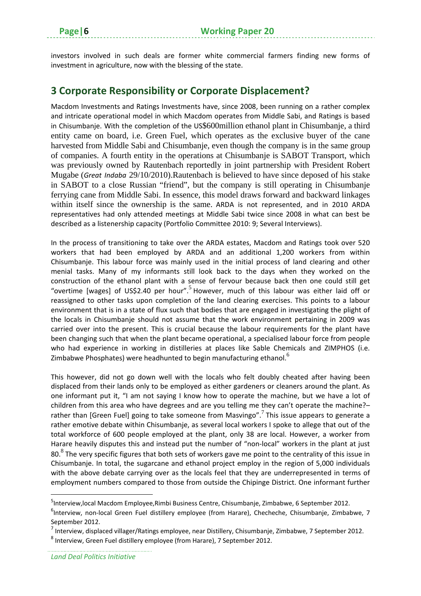investors involved in such deals are former white commercial farmers finding new forms of investment in agriculture, now with the blessing of the state.

#### **3 Corporate Responsibility or Corporate Displacement?**

Macdom Investments and Ratings Investments have, since 2008, been running on a rather complex and intricate operational model in which Macdom operates from Middle Sabi, and Ratings is based in Chisumbanje. With the completion of the US\$600million ethanol plant in Chisumbanje, a third entity came on board, i.e. Green Fuel, which operates as the exclusive buyer of the cane harvested from Middle Sabi and Chisumbanje, even though the company is in the same group of companies. A fourth entity in the operations at Chisumbanje is SABOT Transport, which was previously owned by Rautenbach reportedly in joint partnership with President Robert Mugabe (*Great Indaba* 29/10/2010).Rautenbach is believed to have since deposed of his stake in SABOT to a close Russian "friend", but the company is still operating in Chisumbanje ferrying cane from Middle Sabi. In essence, this model draws forward and backward linkages within itself since the ownership is the same. ARDA is not represented, and in 2010 ARDA representatives had only attended meetings at Middle Sabi twice since 2008 in what can best be described as a listenership capacity (Portfolio Committee 2010: 9; Several Interviews).

In the process of transitioning to take over the ARDA estates, Macdom and Ratings took over 520 workers that had been employed by ARDA and an additional 1,200 workers from within Chisumbanje. This labour force was mainly used in the initial process of land clearing and other menial tasks. Many of my informants still look back to the days when they worked on the construction of the ethanol plant with a sense of fervour because back then one could still get "overtime [wages] of US\$2.40 per hour".<sup>5</sup> However, much of this labour was either laid off or reassigned to other tasks upon completion of the land clearing exercises. This points to a labour environment that is in a state of flux such that bodies that are engaged in investigating the plight of the locals in Chisumbanje should not assume that the work environment pertaining in 2009 was carried over into the present. This is crucial because the labour requirements for the plant have been changing such that when the plant became operational, a specialised labour force from people who had experience in working in distilleries at places like Sable Chemicals and ZIMPHOS (i.e. Zimbabwe Phosphates) were headhunted to begin manufacturing ethanol.<sup>6</sup>

This however, did not go down well with the locals who felt doubly cheated after having been displaced from their lands only to be employed as either gardeners or cleaners around the plant. As one informant put it, "I am not saying I know how to operate the machine, but we have a lot of children from this area who have degrees and are you telling me they can't operate the machine?– rather than [Green Fuel] going to take someone from Masvingo".<sup>7</sup> This issue appears to generate a rather emotive debate within Chisumbanje, as several local workers I spoke to allege that out of the total workforce of 600 people employed at the plant, only 38 are local. However, a worker from Harare heavily disputes this and instead put the number of "non-local" workers in the plant at just 80.<sup>8</sup> The very specific figures that both sets of workers gave me point to the centrality of this issue in Chisumbanje. In total, the sugarcane and ethanol project employ in the region of 5,000 individuals with the above debate carrying over as the locals feel that they are underrepresented in terms of employment numbers compared to those from outside the Chipinge District. One informant further

<sup>&</sup>lt;sup>5</sup>Interview,local Macdom Employee,Rimbi Business Centre, Chisumbanje, Zimbabwe, 6 September 2012.

<sup>&</sup>lt;sup>6</sup>Interview, non-local Green Fuel distillery employee (from Harare), Checheche, Chisumbanje, Zimbabwe, 7 September 2012.

<sup>7</sup> Interview, displaced villager/Ratings employee, near Distillery, Chisumbanje, Zimbabwe, 7 September 2012.

<sup>8</sup> Interview, Green Fuel distillery employee (from Harare), 7 September 2012.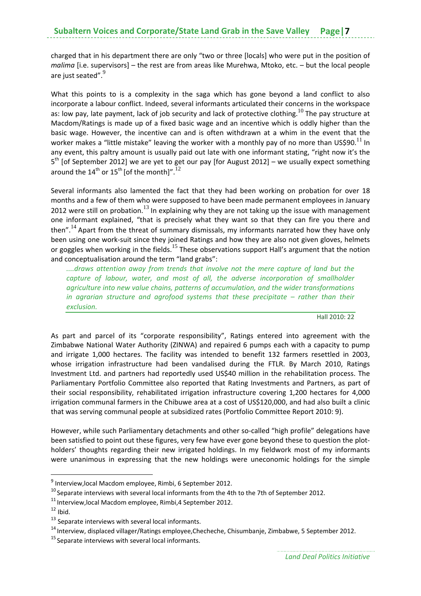charged that in his department there are only "two or three [locals] who were put in the position of *malima* [i.e. supervisors] – the rest are from areas like Murehwa, Mtoko, etc. – but the local people are just seated".

What this points to is a complexity in the saga which has gone beyond a land conflict to also incorporate a labour conflict. Indeed, several informants articulated their concerns in the workspace as: low pay, late payment, lack of job security and lack of protective clothing.<sup>10</sup> The pay structure at Macdom/Ratings is made up of a fixed basic wage and an incentive which is oddly higher than the basic wage. However, the incentive can and is often withdrawn at a whim in the event that the worker makes a "little mistake" leaving the worker with a monthly pay of no more than US\$90.<sup>11</sup> In any event, this paltry amount is usually paid out late with one informant stating, "right now it's the  $5<sup>th</sup>$  [of September 2012] we are yet to get our pay [for August 2012] – we usually expect something around the  $14^{th}$  or  $15^{th}$  [of the month]".<sup>1</sup>

Several informants also lamented the fact that they had been working on probation for over 18 months and a few of them who were supposed to have been made permanent employees in January 2012 were still on probation.<sup>13</sup> In explaining why they are not taking up the issue with management one informant explained, "that is precisely what they want so that they can fire you there and then".<sup>14</sup> Apart from the threat of summary dismissals, my informants narrated how they have only been using one work-suit since they joined Ratings and how they are also not given gloves, helmets or goggles when working in the fields.<sup>15</sup> These observations support Hall's argument that the notion and conceptualisation around the term "land grabs":

*....draws attention away from trends that involve not the mere capture of land but the capture of labour, water, and most of all, the adverse incorporation of smallholder agriculture into new value chains, patterns of accumulation, and the wider transformations in agrarian structure and agrofood systems that these precipitate – rather than their exclusion.* 

Hall 2010: 22

As part and parcel of its "corporate responsibility", Ratings entered into agreement with the Zimbabwe National Water Authority (ZINWA) and repaired 6 pumps each with a capacity to pump and irrigate 1,000 hectares. The facility was intended to benefit 132 farmers resettled in 2003, whose irrigation infrastructure had been vandalised during the FTLR. By March 2010, Ratings Investment Ltd. and partners had reportedly used US\$40 million in the rehabilitation process. The Parliamentary Portfolio Committee also reported that Rating Investments and Partners, as part of their social responsibility, rehabilitated irrigation infrastructure covering 1,200 hectares for 4,000 irrigation communal farmers in the Chibuwe area at a cost of US\$120,000, and had also built a clinic that was serving communal people at subsidized rates (Portfolio Committee Report 2010: 9).

However, while such Parliamentary detachments and other so-called "high profile" delegations have been satisfied to point out these figures, very few have ever gone beyond these to question the plotholders' thoughts regarding their new irrigated holdings. In my fieldwork most of my informants were unanimous in expressing that the new holdings were uneconomic holdings for the simple

<sup>9</sup> Interview,local Macdom employee, Rimbi, 6 September 2012.

 $10$  Separate interviews with several local informants from the 4th to the 7th of September 2012.

 $11$  Interview, local Macdom employee, Rimbi, 4 September 2012.

 $12$  Ibid.

 $13$  Separate interviews with several local informants.

<sup>14</sup> Interview, displaced villager/Ratings employee,Checheche, Chisumbanje, Zimbabwe, 5 September 2012.

<sup>&</sup>lt;sup>15</sup> Separate interviews with several local informants.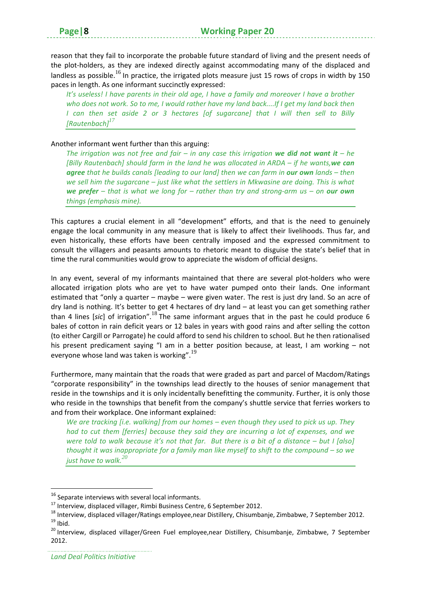reason that they fail to incorporate the probable future standard of living and the present needs of the plot-holders, as they are indexed directly against accommodating many of the displaced and landless as possible.<sup>16</sup> In practice, the irrigated plots measure just 15 rows of crops in width by 150 paces in length. As one informant succinctly expressed:

It's useless! I have parents in their old age, I have a family and moreover I have a brother who does not work. So to me, I would rather have my land back....If I get my land back then *I can then set aside 2 or 3 hectares [of sugarcane] that I will then sell to Billy [Rautenbach]<sup>17</sup>*

#### Another informant went further than this arguing:

The irrigation was not free and fair – in any case this irrigation we did not want it – he *[Billy Rautenbach] should farm in the land he was allocated in ARDA – if he wants,we can agree that he builds canals [leading to our land] then we can farm in our own lands – then we sell him the sugarcane – just like what the settlers in Mkwasine are doing. This is what* we prefer – that is what we long for – rather than try and strong-arm us – on our own *things (emphasis mine).*

This captures a crucial element in all "development" efforts, and that is the need to genuinely engage the local community in any measure that is likely to affect their livelihoods. Thus far, and even historically, these efforts have been centrally imposed and the expressed commitment to consult the villagers and peasants amounts to rhetoric meant to disguise the state's belief that in time the rural communities would grow to appreciate the wisdom of official designs.

In any event, several of my informants maintained that there are several plot‐holders who were allocated irrigation plots who are yet to have water pumped onto their lands. One informant estimated that "only a quarter – maybe – were given water. The rest is just dry land. So an acre of dry land is nothing. It's better to get 4 hectares of dry land – at least you can get something rather than 4 lines [*sic*] of irrigation".<sup>18</sup> The same informant argues that in the past he could produce 6 bales of cotton in rain deficit years or 12 bales in years with good rains and after selling the cotton (to either Cargill or Parrogate) he could afford to send his children to school. But he then rationalised his present predicament saying "I am in a better position because, at least, I am working – not everyone whose land was taken is working".<sup>19</sup>

Furthermore, many maintain that the roads that were graded as part and parcel of Macdom/Ratings "corporate responsibility" in the townships lead directly to the houses of senior management that reside in the townships and it is only incidentally benefitting the community. Further, it is only those who reside in the townships that benefit from the company's shuttle service that ferries workers to and from their workplace. One informant explained:

*We are tracking [i.e. walking] from our homes – even though they used to pick us up. They had to cut them [ferries] because they said they are incurring a lot of expenses, and we* were told to walk because it's not that far. But there is a bit of a distance  $-$  but I [also] *thought it was inappropriate for a family man like myself to shift to the compound – so we just have to walk.<sup>20</sup>*

<sup>&</sup>lt;sup>16</sup> Separate interviews with several local informants.

<sup>&</sup>lt;sup>17</sup> Interview, displaced villager, Rimbi Business Centre, 6 September 2012.<br><sup>18</sup> Interview, displaced villager/Ratings employee, near Distillery, Chisumbanje, Zimbabwe, 7 September 2012.<br><sup>19</sup> Ibid.<br><sup>20</sup> Interview, displa

<sup>2012.</sup>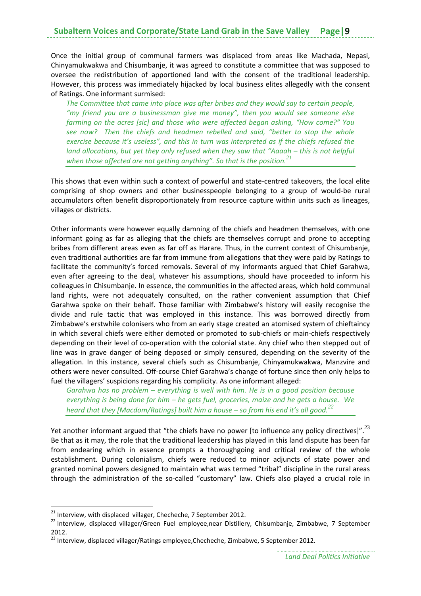Once the initial group of communal farmers was displaced from areas like Machada, Nepasi, Chinyamukwakwa and Chisumbanje, it was agreed to constitute a committee that was supposed to oversee the redistribution of apportioned land with the consent of the traditional leadership. However, this process was immediately hijacked by local business elites allegedly with the consent of Ratings. One informant surmised:

*The Committee that came into place was after bribes and they would say to certain people, "my friend you are a businessman give me money", then you would see someone else farming on the acres [sic] and those who were affected began asking, "How come?" You see now? Then the chiefs and headmen rebelled and said, "better to stop the whole exercise because it's useless", and this in turn was interpreted as if the chiefs refused the land allocations, but yet they only refused when they saw that "Aaaah – this is not helpful when those affected are not getting anything". So that is the position.<sup>21</sup>*

This shows that even within such a context of powerful and state-centred takeovers, the local elite comprising of shop owners and other businesspeople belonging to a group of would‐be rural accumulators often benefit disproportionately from resource capture within units such as lineages, villages or districts.

Other informants were however equally damning of the chiefs and headmen themselves, with one informant going as far as alleging that the chiefs are themselves corrupt and prone to accepting bribes from different areas even as far off as Harare. Thus, in the current context of Chisumbanje, even traditional authorities are far from immune from allegations that they were paid by Ratings to facilitate the community's forced removals. Several of my informants argued that Chief Garahwa, even after agreeing to the deal, whatever his assumptions, should have proceeded to inform his colleagues in Chisumbanje. In essence, the communities in the affected areas, which hold communal land rights, were not adequately consulted, on the rather convenient assumption that Chief Garahwa spoke on their behalf. Those familiar with Zimbabwe's history will easily recognise the divide and rule tactic that was employed in this instance. This was borrowed directly from Zimbabwe's erstwhile colonisers who from an early stage created an atomised system of chieftaincy in which several chiefs were either demoted or promoted to sub‐chiefs or main‐chiefs respectively depending on their level of co-operation with the colonial state. Any chief who then stepped out of line was in grave danger of being deposed or simply censured, depending on the severity of the allegation. In this instance, several chiefs such as Chisumbanje, Chinyamukwakwa, Manzvire and others were never consulted. Off‐course Chief Garahwa's change of fortune since then only helps to fuel the villagers' suspicions regarding his complicity. As one informant alleged:

*Garahwa has no problem – everything is well with him. He is in a good position because everything is being done for him – he gets fuel, groceries, maize and he gets a house. We heard that they [Macdom/Ratings] built him a house – so from his end it's all good.<sup>22</sup>*

Yet another informant argued that "the chiefs have no power [to influence any policy directives]".  $^{23}$ Be that as it may, the role that the traditional leadership has played in this land dispute has been far from endearing which in essence prompts a thoroughgoing and critical review of the whole establishment. During colonialism, chiefs were reduced to minor adjuncts of state power and granted nominal powers designed to maintain what was termed "tribal" discipline in the rural areas through the administration of the so-called "customary" law. Chiefs also played a crucial role in

<sup>&</sup>lt;sup>21</sup> Interview, with displaced villager, Checheche, 7 September 2012.<br><sup>22</sup> Interview, displaced villager/Green Fuel employee,near Distillery, Chisumbanje, Zimbabwe, 7 September 2012.

<sup>&</sup>lt;sup>23</sup> Interview, displaced villager/Ratings employee, Checheche, Zimbabwe, 5 September 2012.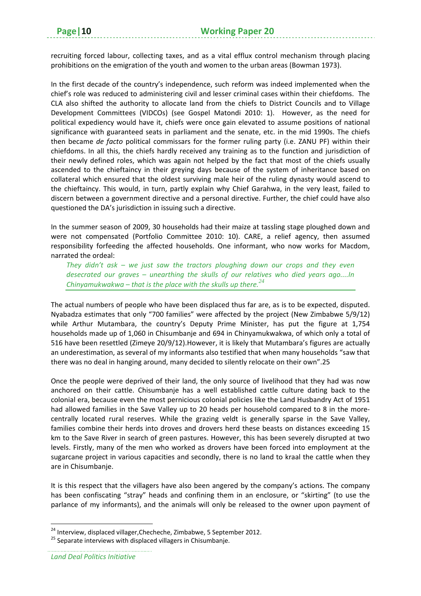recruiting forced labour, collecting taxes, and as a vital efflux control mechanism through placing prohibitions on the emigration of the youth and women to the urban areas (Bowman 1973).

In the first decade of the country's independence, such reform was indeed implemented when the chief's role was reduced to administering civil and lesser criminal cases within their chiefdoms. The CLA also shifted the authority to allocate land from the chiefs to District Councils and to Village Development Committees (VIDCOs) (see Gospel Matondi 2010: 1). However, as the need for political expediency would have it, chiefs were once gain elevated to assume positions of national significance with guaranteed seats in parliament and the senate, etc. in the mid 1990s. The chiefs then became *de facto* political commissars for the former ruling party (i.e. ZANU PF) within their chiefdoms. In all this, the chiefs hardly received any training as to the function and jurisdiction of their newly defined roles, which was again not helped by the fact that most of the chiefs usually ascended to the chieftaincy in their greying days because of the system of inheritance based on collateral which ensured that the oldest surviving male heir of the ruling dynasty would ascend to the chieftaincy. This would, in turn, partly explain why Chief Garahwa, in the very least, failed to discern between a government directive and a personal directive. Further, the chief could have also questioned the DA's jurisdiction in issuing such a directive.

In the summer season of 2009, 30 households had their maize at tassling stage ploughed down and were not compensated (Portfolio Committee 2010: 10). CARE, a relief agency, then assumed responsibility forfeeding the affected households. One informant, who now works for Macdom, narrated the ordeal:

*They didn't ask – we just saw the tractors ploughing down our crops and they even desecrated our graves – unearthing the skulls of our relatives who died years ago....In Chinyamukwakwa – that is the place with the skulls up there.<sup>24</sup>*

The actual numbers of people who have been displaced thus far are, as is to be expected, disputed. Nyabadza estimates that only "700 families" were affected by the project (New Zimbabwe 5/9/12) while Arthur Mutambara, the country's Deputy Prime Minister, has put the figure at 1,754 households made up of 1,060 in Chisumbanje and 694 in Chinyamukwakwa, of which only a total of 516 have been resettled (Zimeye 20/9/12).However, it is likely that Mutambara's figures are actually an underestimation, as several of my informants also testified that when many households "saw that there was no deal in hanging around, many decided to silently relocate on their own".25

Once the people were deprived of their land, the only source of livelihood that they had was now anchored on their cattle. Chisumbanje has a well established cattle culture dating back to the colonial era, because even the most pernicious colonial policies like the Land Husbandry Act of 1951 had allowed families in the Save Valley up to 20 heads per household compared to 8 in the morecentrally located rural reserves. While the grazing veldt is generally sparse in the Save Valley, families combine their herds into droves and drovers herd these beasts on distances exceeding 15 km to the Save River in search of green pastures. However, this has been severely disrupted at two levels. Firstly, many of the men who worked as drovers have been forced into employment at the sugarcane project in various capacities and secondly, there is no land to kraal the cattle when they are in Chisumbanje.

It is this respect that the villagers have also been angered by the company's actions. The company has been confiscating "stray" heads and confining them in an enclosure, or "skirting" (to use the parlance of my informants), and the animals will only be released to the owner upon payment of

<sup>&</sup>lt;sup>24</sup> Interview, displaced villager,Checheche, Zimbabwe, 5 September 2012.<br><sup>25</sup> Separate interviews with displaced villagers in Chisumbanje.

*Land Deal Politics Initiative*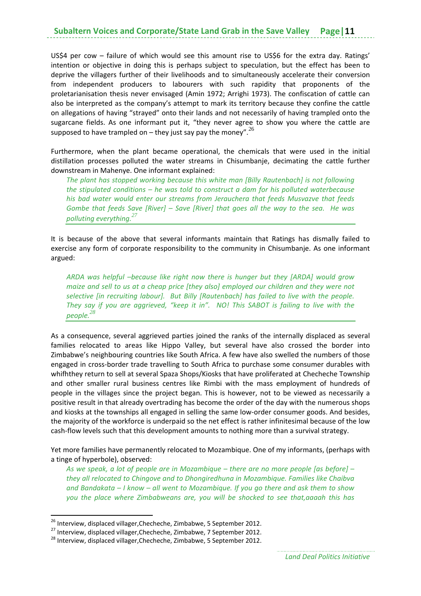US\$4 per cow – failure of which would see this amount rise to US\$6 for the extra day. Ratings' intention or objective in doing this is perhaps subject to speculation, but the effect has been to deprive the villagers further of their livelihoods and to simultaneously accelerate their conversion from independent producers to labourers with such rapidity that proponents of the proletarianisation thesis never envisaged (Amin 1972; Arrighi 1973). The confiscation of cattle can also be interpreted as the company's attempt to mark its territory because they confine the cattle on allegations of having "strayed" onto their lands and not necessarily of having trampled onto the sugarcane fields. As one informant put it, "they never agree to show you where the cattle are supposed to have trampled on – they just say pay the money".  $^{26}$ 

Furthermore, when the plant became operational, the chemicals that were used in the initial distillation processes polluted the water streams in Chisumbanje, decimating the cattle further downstream in Mahenye. One informant explained:

*The plant has stopped working because this white man [Billy Rautenbach] is not following the stipulated conditions – he was told to construct a dam for his polluted waterbecause his bad water would enter our streams from Jerauchera that feeds Musvazve that feeds Gombe that feeds Save [River] – Save [River] that goes all the way to the sea. He was polluting everything.<sup>27</sup>*

It is because of the above that several informants maintain that Ratings has dismally failed to exercise any form of corporate responsibility to the community in Chisumbanje. As one informant argued:

*ARDA was helpful –because like right now there is hunger but they [ARDA] would grow maize and sell to us at a cheap price [they also] employed our children and they were not selective [in recruiting labour]. But Billy [Rautenbach] has failed to live with the people. They say if you are aggrieved, "keep it in". NO! This SABOT is failing to live with the people.<sup>28</sup>*

As a consequence, several aggrieved parties joined the ranks of the internally displaced as several families relocated to areas like Hippo Valley, but several have also crossed the border into Zimbabwe's neighbouring countries like South Africa. A few have also swelled the numbers of those engaged in cross‐border trade travelling to South Africa to purchase some consumer durables with whifhthey return to sell at several Spaza Shops/Kiosks that have proliferated at Checheche Township and other smaller rural business centres like Rimbi with the mass employment of hundreds of people in the villages since the project began. This is however, not to be viewed as necessarily a positive result in that already overtrading has become the order of the day with the numerous shops and kiosks at the townships all engaged in selling the same low‐order consumer goods. And besides, the majority of the workforce is underpaid so the net effect is rather infinitesimal because of the low cash-flow levels such that this development amounts to nothing more than a survival strategy.

Yet more families have permanently relocated to Mozambique. One of my informants, (perhaps with a tinge of hyperbole), observed:

*As we speak, a lot of people are in Mozambique – there are no more people [as before] – they all relocated to Chingove and to Dhongiredhuna in Mozambique. Families like Chaibva and Bandakata – I know – all went to Mozambique. If you go there and ask them to show you the place where Zimbabweans are, you will be shocked to see that,aaaah this has*

<sup>&</sup>lt;sup>26</sup> Interview, displaced villager, Checheche, Zimbabwe, 5 September 2012.

<sup>27</sup> Interview, displaced villager,Checheche, Zimbabwe, 7 September 2012.<br><sup>28</sup> Interview, displaced villager,Checheche, Zimbabwe, 5 September 2012.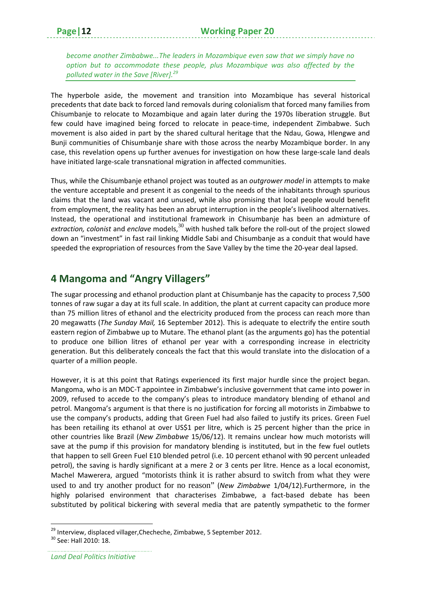*become another Zimbabwe...The leaders in Mozambique even saw that we simply have no option but to accommodate these people, plus Mozambique was also affected by the polluted water in the Save [River].<sup>29</sup>*

The hyperbole aside, the movement and transition into Mozambique has several historical precedents that date back to forced land removals during colonialism that forced many families from Chisumbanje to relocate to Mozambique and again later during the 1970s liberation struggle. But few could have imagined being forced to relocate in peace-time, independent Zimbabwe. Such movement is also aided in part by the shared cultural heritage that the Ndau, Gowa, Hlengwe and Bunji communities of Chisumbanje share with those across the nearby Mozambique border. In any case, this revelation opens up further avenues for investigation on how these large‐scale land deals have initiated large‐scale transnational migration in affected communities.

Thus, while the Chisumbanje ethanol project was touted as an *outgrower model* in attempts to make the venture acceptable and present it as congenial to the needs of the inhabitants through spurious claims that the land was vacant and unused, while also promising that local people would benefit from employment, the reality has been an abrupt interruption in the people's livelihood alternatives. Instead, the operational and institutional framework in Chisumbanje has been an admixture of *extraction, colonist* and *enclave* models,<sup>30</sup> with hushed talk before the roll-out of the project slowed down an "investment" in fast rail linking Middle Sabi and Chisumbanje as a conduit that would have speeded the expropriation of resources from the Save Valley by the time the 20‐year deal lapsed.

#### **4 Mangoma and "Angry Villagers"**

The sugar processing and ethanol production plant at Chisumbanje has the capacity to process 7,500 tonnes of raw sugar a day at its full scale. In addition, the plant at current capacity can produce more than 75 million litres of ethanol and the electricity produced from the process can reach more than 20 megawatts (*The Sunday Mail,* 16 September 2012). This is adequate to electrify the entire south eastern region of Zimbabwe up to Mutare. The ethanol plant (as the arguments go) has the potential to produce one billion litres of ethanol per year with a corresponding increase in electricity generation. But this deliberately conceals the fact that this would translate into the dislocation of a quarter of a million people.

However, it is at this point that Ratings experienced its first major hurdle since the project began. Mangoma, who is an MDC‐T appointee in Zimbabwe's inclusive government that came into power in 2009, refused to accede to the company's pleas to introduce mandatory blending of ethanol and petrol. Mangoma's argument is that there is no justification for forcing all motorists in Zimbabwe to use the company's products, adding that Green Fuel had also failed to justify its prices. Green Fuel has been retailing its ethanol at over US\$1 per litre, which is 25 percent higher than the price in other countries like Brazil (*New Zimbabwe* 15/06/12). It remains unclear how much motorists will save at the pump if this provision for mandatory blending is instituted, but in the few fuel outlets that happen to sell Green Fuel E10 blended petrol (i.e. 10 percent ethanol with 90 percent unleaded petrol), the saving is hardly significant at a mere 2 or 3 cents per litre. Hence as a local economist, Machel Mawerera, argued "motorists think it is rather absurd to switch from what they were used to and try another product for no reason" (*New Zimbabwe* 1/04/12).Furthermore, in the highly polarised environment that characterises Zimbabwe, a fact-based debate has been substituted by political bickering with several media that are patently sympathetic to the former

<sup>&</sup>lt;sup>29</sup> Interview, displaced villager,Checheche, Zimbabwe, 5 September 2012.<br><sup>30</sup> See: Hall 2010: 18.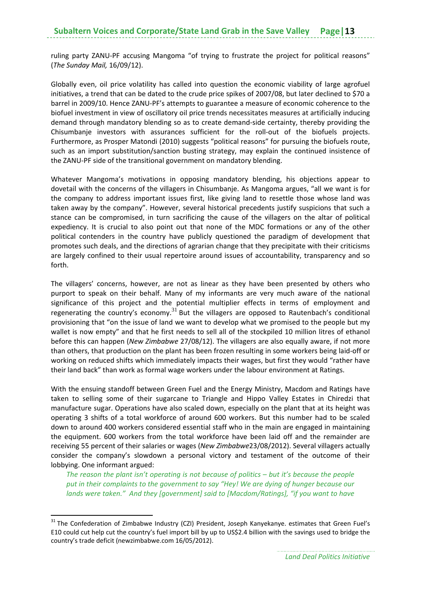ruling party ZANU‐PF accusing Mangoma "of trying to frustrate the project for political reasons" (*The Sunday Mail,* 16/09/12).

Globally even, oil price volatility has called into question the economic viability of large agrofuel initiatives, a trend that can be dated to the crude price spikes of 2007/08, but later declined to \$70 a barrel in 2009/10. Hence ZANU‐PF's attempts to guarantee a measure of economic coherence to the biofuel investment in view of oscillatory oil price trends necessitates measures at artificially inducing demand through mandatory blending so as to create demand‐side certainty, thereby providing the Chisumbanje investors with assurances sufficient for the roll‐out of the biofuels projects. Furthermore, as Prosper Matondi (2010) suggests "political reasons" for pursuing the biofuels route, such as an import substitution/sanction busting strategy, may explain the continued insistence of the ZANU‐PF side of the transitional government on mandatory blending.

Whatever Mangoma's motivations in opposing mandatory blending, his objections appear to dovetail with the concerns of the villagers in Chisumbanje. As Mangoma argues, "all we want is for the company to address important issues first, like giving land to resettle those whose land was taken away by the company". However, several historical precedents justify suspicions that such a stance can be compromised, in turn sacrificing the cause of the villagers on the altar of political expediency. It is crucial to also point out that none of the MDC formations or any of the other political contenders in the country have publicly questioned the paradigm of development that promotes such deals, and the directions of agrarian change that they precipitate with their criticisms are largely confined to their usual repertoire around issues of accountability, transparency and so forth.

The villagers' concerns, however, are not as linear as they have been presented by others who purport to speak on their behalf. Many of my informants are very much aware of the national significance of this project and the potential multiplier effects in terms of employment and regenerating the country's economy.<sup>31</sup> But the villagers are opposed to Rautenbach's conditional provisioning that "on the issue of land we want to develop what we promised to the people but my wallet is now empty" and that he first needs to sell all of the stockpiled 10 million litres of ethanol before this can happen (*New Zimbabwe* 27/08/12). The villagers are also equally aware, if not more than others, that production on the plant has been frozen resulting in some workers being laid‐off or working on reduced shifts which immediately impacts their wages, but first they would "rather have their land back" than work as formal wage workers under the labour environment at Ratings.

With the ensuing standoff between Green Fuel and the Energy Ministry, Macdom and Ratings have taken to selling some of their sugarcane to Triangle and Hippo Valley Estates in Chiredzi that manufacture sugar. Operations have also scaled down, especially on the plant that at its height was operating 3 shifts of a total workforce of around 600 workers. But this number had to be scaled down to around 400 workers considered essential staff who in the main are engaged in maintaining the equipment. 600 workers from the total workforce have been laid off and the remainder are receiving 55 percent of their salaries or wages (*New Zimbabwe*23/08/2012). Several villagers actually consider the company's slowdown a personal victory and testament of the outcome of their lobbying. One informant argued:

*The reason the plant isn't operating is not because of politics – but it's because the people put in their complaints to the government to say "Hey! We are dying of hunger because our lands were taken." And they [government] said to [Macdom/Ratings], "if you want to have*

<sup>&</sup>lt;sup>31</sup> The Confederation of Zimbabwe Industry (CZI) President, Joseph Kanyekanye. estimates that Green Fuel's E10 could cut help cut the country's fuel import bill by up to US\$2.4 billion with the savings used to bridge the country's trade deficit (newzimbabwe.com 16/05/2012).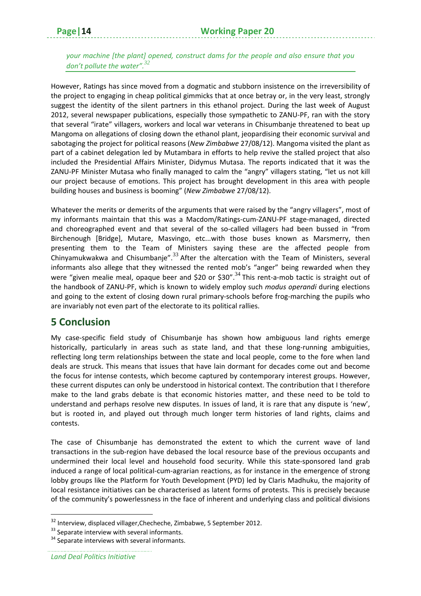*your machine [the plant] opened, construct dams for the people and also ensure that you don't pollute the water".<sup>32</sup>*

However, Ratings has since moved from a dogmatic and stubborn insistence on the irreversibility of the project to engaging in cheap political gimmicks that at once betray or, in the very least, strongly suggest the identity of the silent partners in this ethanol project. During the last week of August 2012, several newspaper publications, especially those sympathetic to ZANU‐PF, ran with the story that several "irate" villagers, workers and local war veterans in Chisumbanje threatened to beat up Mangoma on allegations of closing down the ethanol plant, jeopardising their economic survival and sabotaging the project for political reasons (*New Zimbabwe* 27/08/12). Mangoma visited the plant as part of a cabinet delegation led by Mutambara in efforts to help revive the stalled project that also included the Presidential Affairs Minister, Didymus Mutasa. The reports indicated that it was the ZANU‐PF Minister Mutasa who finally managed to calm the "angry" villagers stating, "let us not kill our project because of emotions. This project has brought development in this area with people building houses and business is booming" (*New Zimbabwe* 27/08/12).

Whatever the merits or demerits of the arguments that were raised by the "angry villagers", most of my informants maintain that this was a Macdom/Ratings‐cum‐ZANU‐PF stage‐managed, directed and choreographed event and that several of the so-called villagers had been bussed in "from Birchenough [Bridge], Mutare, Masvingo, etc...with those buses known as Marsmerry, then presenting them to the Team of Ministers saying these are the affected people from Chinyamukwakwa and Chisumbanje". $^{33}$  After the altercation with the Team of Ministers, several informants also allege that they witnessed the rented mob's "anger" being rewarded when they were "given mealie meal, opaque beer and \$20 or \$30".<sup>34</sup> This rent-a-mob tactic is straight out of the handbook of ZANU‐PF, which is known to widely employ such *modus operandi* during elections and going to the extent of closing down rural primary-schools before frog-marching the pupils who are invariably not even part of the electorate to its political rallies.

#### **5 Conclusion**

My case‐specific field study of Chisumbanje has shown how ambiguous land rights emerge historically, particularly in areas such as state land, and that these long-running ambiguities, reflecting long term relationships between the state and local people, come to the fore when land deals are struck. This means that issues that have lain dormant for decades come out and become the focus for intense contests, which become captured by contemporary interest groups. However, these current disputes can only be understood in historical context. The contribution that I therefore make to the land grabs debate is that economic histories matter, and these need to be told to understand and perhaps resolve new disputes. In issues of land, it is rare that any dispute is 'new', but is rooted in, and played out through much longer term histories of land rights, claims and contests.

The case of Chisumbanje has demonstrated the extent to which the current wave of land transactions in the sub‐region have debased the local resource base of the previous occupants and undermined their local level and household food security. While this state-sponsored land grab induced a range of local political-cum-agrarian reactions, as for instance in the emergence of strong lobby groups like the Platform for Youth Development (PYD) led by Claris Madhuku, the majority of local resistance initiatives can be characterised as latent forms of protests. This is precisely because of the community's powerlessness in the face of inherent and underlying class and political divisions

<sup>32</sup> Interview, displaced villager,Checheche, Zimbabwe, 5 September 2012.

 $33$  Separate interview with several informants.<br> $34$  Separate interviews with several informants.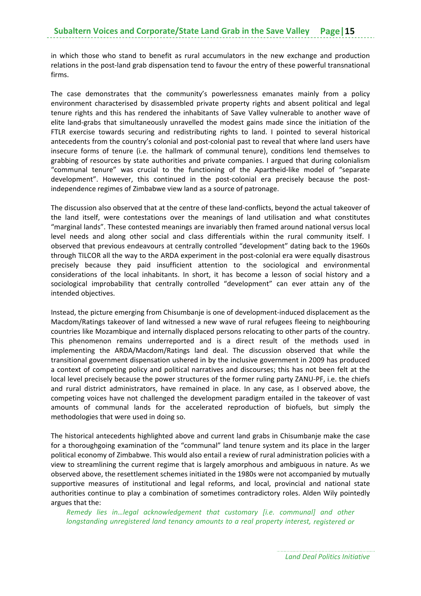in which those who stand to benefit as rural accumulators in the new exchange and production relations in the post-land grab dispensation tend to favour the entry of these powerful transnational firms.

The case demonstrates that the community's powerlessness emanates mainly from a policy environment characterised by disassembled private property rights and absent political and legal tenure rights and this has rendered the inhabitants of Save Valley vulnerable to another wave of elite land‐grabs that simultaneously unravelled the modest gains made since the initiation of the FTLR exercise towards securing and redistributing rights to land. I pointed to several historical antecedents from the country's colonial and post-colonial past to reveal that where land users have insecure forms of tenure (i.e. the hallmark of communal tenure), conditions lend themselves to grabbing of resources by state authorities and private companies. I argued that during colonialism "communal tenure" was crucial to the functioning of the Apartheid‐like model of "separate development". However, this continued in the post-colonial era precisely because the postindependence regimes of Zimbabwe view land as a source of patronage.

The discussion also observed that at the centre of these land‐conflicts, beyond the actual takeover of the land itself, were contestations over the meanings of land utilisation and what constitutes "marginal lands". These contested meanings are invariably then framed around national versus local level needs and along other social and class differentials within the rural community itself. I observed that previous endeavours at centrally controlled "development" dating back to the 1960s through TILCOR all the way to the ARDA experiment in the post-colonial era were equally disastrous precisely because they paid insufficient attention to the sociological and environmental considerations of the local inhabitants. In short, it has become a lesson of social history and a sociological improbability that centrally controlled "development" can ever attain any of the intended objectives.

Instead, the picture emerging from Chisumbanje is one of development‐induced displacement as the Macdom/Ratings takeover of land witnessed a new wave of rural refugees fleeing to neighbouring countries like Mozambique and internally displaced persons relocating to other parts of the country. This phenomenon remains underreported and is a direct result of the methods used in implementing the ARDA/Macdom/Ratings land deal. The discussion observed that while the transitional government dispensation ushered in by the inclusive government in 2009 has produced a context of competing policy and political narratives and discourses; this has not been felt at the local level precisely because the power structures of the former ruling party ZANU‐PF, i.e. the chiefs and rural district administrators, have remained in place. In any case, as I observed above, the competing voices have not challenged the development paradigm entailed in the takeover of vast amounts of communal lands for the accelerated reproduction of biofuels, but simply the methodologies that were used in doing so.

The historical antecedents highlighted above and current land grabs in Chisumbanje make the case for a thoroughgoing examination of the "communal" land tenure system and its place in the larger political economy of Zimbabwe. This would also entail a review of rural administration policies with a view to streamlining the current regime that is largely amorphous and ambiguous in nature. As we observed above, the resettlement schemes initiated in the 1980s were not accompanied by mutually supportive measures of institutional and legal reforms, and local, provincial and national state authorities continue to play a combination of sometimes contradictory roles. Alden Wily pointedly argues that the:

*Remedy lies in…legal acknowledgement that customary [i.e. communal] and other longstanding unregistered land tenancy amounts to a real property interest, registered or*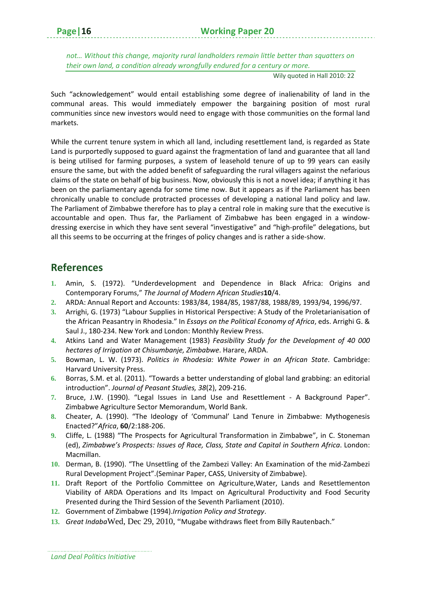*not… Without this change, majority rural landholders remain little better than squatters on their own land, a condition already wrongfully endured for a century or more.*

Wily quoted in Hall 2010: 22

Such "acknowledgement" would entail establishing some degree of inalienability of land in the communal areas. This would immediately empower the bargaining position of most rural communities since new investors would need to engage with those communities on the formal land markets.

While the current tenure system in which all land, including resettlement land, is regarded as State Land is purportedly supposed to guard against the fragmentation of land and guarantee that all land is being utilised for farming purposes, a system of leasehold tenure of up to 99 years can easily ensure the same, but with the added benefit of safeguarding the rural villagers against the nefarious claims of the state on behalf of big business. Now, obviously this is not a novel idea; if anything it has been on the parliamentary agenda for some time now. But it appears as if the Parliament has been chronically unable to conclude protracted processes of developing a national land policy and law. The Parliament of Zimbabwe therefore has to play a central role in making sure that the executive is accountable and open. Thus far, the Parliament of Zimbabwe has been engaged in a window‐ dressing exercise in which they have sent several "investigative" and "high‐profile" delegations, but all this seems to be occurring at the fringes of policy changes and is rather a side‐show.

#### **References**

- **1.** Amin, S. (1972). "Underdevelopment and Dependence in Black Africa: Origins and Contemporary Forums," *The Journal of Modern African Studies***10**/4.
- **2.** ARDA: Annual Report and Accounts: 1983/84, 1984/85, 1987/88, 1988/89, 1993/94, 1996/97.
- **3.** Arrighi, G. (1973) "Labour Supplies in Historical Perspective: A Study of the Proletarianisation of the African Peasantry in Rhodesia." In *Essays on the Political Economy of Africa*, eds. Arrighi G. & Saul J., 180‐234. New York and London: Monthly Review Press.
- **4.** Atkins Land and Water Management (1983) *Feasibility Study for the Development of 40 000 hectares of Irrigation at Chisumbanje, Zimbabwe*. Harare, ARDA.
- **5.** Bowman, L. W. (1973). *Politics in Rhodesia: White Power in an African State*. Cambridge: Harvard University Press.
- **6.** Borras, S.M. et al. (2011). "Towards a better understanding of global land grabbing: an editorial introduction". *Journal of Peasant Studies, 38*(2), 209‐216.
- **7.** Bruce, J.W. (1990). "Legal Issues in Land Use and Resettlement ‐ A Background Paper". Zimbabwe Agriculture Sector Memorandum, World Bank.
- **8.** Cheater, A. (1990). "The Ideology of 'Communal' Land Tenure in Zimbabwe: Mythogenesis Enacted?"*Africa*, **60**/2:188‐206.
- **9.** Cliffe, L. (1988) "The Prospects for Agricultural Transformation in Zimbabwe", in C. Stoneman (ed), *Zimbabwe's Prospects: Issues of Race, Class, State and Capital in Southern Africa*. London: Macmillan.
- **10.** Derman, B. (1990). "The Unsettling of the Zambezi Valley: An Examination of the mid‐Zambezi Rural Development Project".(Seminar Paper, CASS, University of Zimbabwe).
- **11.** Draft Report of the Portfolio Committee on Agriculture,Water, Lands and Resettlementon Viability of ARDA Operations and Its Impact on Agricultural Productivity and Food Security Presented during the Third Session of the Seventh Parliament (2010).
- **12.** Government of Zimbabwe (1994).*Irrigation Policy and Strategy*.
- **13.** *Great Indaba*Wed, Dec 29, 2010, "Mugabe withdraws fleet from Billy Rautenbach."

*Land Deal Politics Initiative*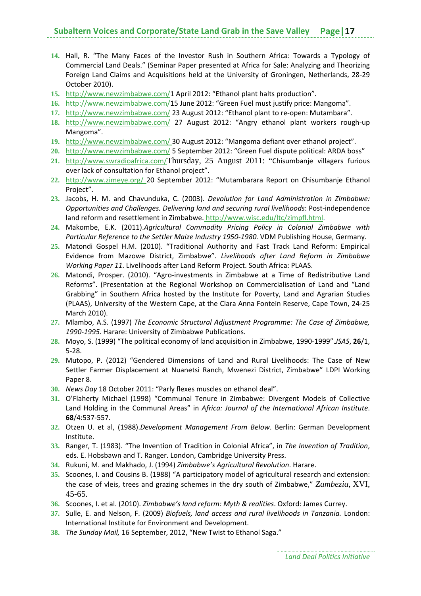- **14.** Hall, R. "The Many Faces of the Investor Rush in Southern Africa: Towards a Typology of Commercial Land Deals." (Seminar Paper presented at Africa for Sale: Analyzing and Theorizing Foreign Land Claims and Acquisitions held at the University of Groningen, Netherlands, 28‐29 October 2010).
- **15.** http://www.newzimbabwe.com/1 April 2012: "Ethanol plant halts production".
- **16.** http://www.newzimbabwe.com/15 June 2012: "Green Fuel must justify price: Mangoma".
- 17. http://www.newzimbabwe.com/23 August 2012: "Ethanol plant to re-open: Mutambara".
- **18.** http://www.newzimbabwe.com/ 27 August 2012: "Angry ethanol plant workers rough‐up Mangoma".
- **19.** http://www.newzimbabwe.com/ 30 August 2012: "Mangoma defiant over ethanol project".
- **20.** http://www.newzimbabwe.com/ 5 September 2012: "Green Fuel dispute political: ARDA boss"
- **21.** http://www.swradioafrica.com/Thursday, 25 August 2011: "Chisumbanje villagers furious over lack of consultation for Ethanol project".
- **22.** http://www.zimeye.org/ 20 September 2012: "Mutambarara Report on Chisumbanje Ethanol Project".
- **23.** Jacobs, H. M. and Chavunduka, C. (2003). *Devolution for Land Administration in Zimbabwe: Opportunities and Challenges. Delivering land and securing rural livelihoods*: Post‐independence land reform and resettlement in Zimbabwe. http://www.wisc.edu/ltc/zimpfl.html.
- **24.** Makombe, E.K. (2011).*Agricultural Commodity Pricing Policy in Colonial Zimbabwe with Particular Reference to the Settler Maize Industry 1950‐1980.* VDM Publishing House, Germany.
- **25.** Matondi Gospel H.M. (2010). "Traditional Authority and Fast Track Land Reform: Empirical Evidence from Mazowe District, Zimbabwe". *Livelihoods after Land Reform in Zimbabwe Working Paper 11*. Livelihoods after Land Reform Project. South Africa: PLAAS.
- **26.** Matondi, Prosper. (2010). "Agro‐investments in Zimbabwe at a Time of Redistributive Land Reforms". (Presentation at the Regional Workshop on Commercialisation of Land and "Land Grabbing" in Southern Africa hosted by the Institute for Poverty, Land and Agrarian Studies (PLAAS), University of the Western Cape, at the Clara Anna Fontein Reserve, Cape Town, 24‐25 March 2010).
- **27.** Mlambo, A.S. (1997) *The Economic Structural Adjustment Programme: The Case of Zimbabwe, 1990‐1995.* Harare: University of Zimbabwe Publications.
- **28.** Moyo, S. (1999) "The political economy of land acquisition in Zimbabwe, 1990‐1999".*JSAS*, **26**/1, 5‐28.
- **29.** Mutopo, P. (2012) "Gendered Dimensions of Land and Rural Livelihoods: The Case of New Settler Farmer Displacement at Nuanetsi Ranch, Mwenezi District, Zimbabwe" LDPI Working Paper 8.
- **30.** *News Day* 18 October 2011: "Parly flexes muscles on ethanol deal".
- **31.** O'Flaherty Michael (1998) "Communal Tenure in Zimbabwe: Divergent Models of Collective Land Holding in the Communal Areas" in *Africa: Journal of the International African Institute*. **68**/4:537‐557.
- **32.** Otzen U. et al, (1988).*Development Management From Below*. Berlin: German Development Institute.
- **33.** Ranger, T. (1983). "The Invention of Tradition in Colonial Africa", in *The Invention of Tradition*, eds. E. Hobsbawn and T. Ranger. London, Cambridge University Press.
- **34.** Rukuni, M. and Makhado, J. (1994) *Zimbabwe's Agricultural Revolution*. Harare.
- **35.** Scoones, I. and Cousins B. (1988) "A participatory model of agricultural research and extension: the case of vleis, trees and grazing schemes in the dry south of Zimbabwe," *Zambezia*, XVI, 45-65.
- **36.** Scoones, I. et al. (2010). *Zimbabwe's land reform: Myth & realities*. Oxford: James Currey.
- **37.** Sulle, E. and Nelson, F. (2009) *Biofuels, land access and rural livelihoods in Tanzania.* London: International Institute for Environment and Development.
- **38.** *The Sunday Mail,* 16 September, 2012, "New Twist to Ethanol Saga."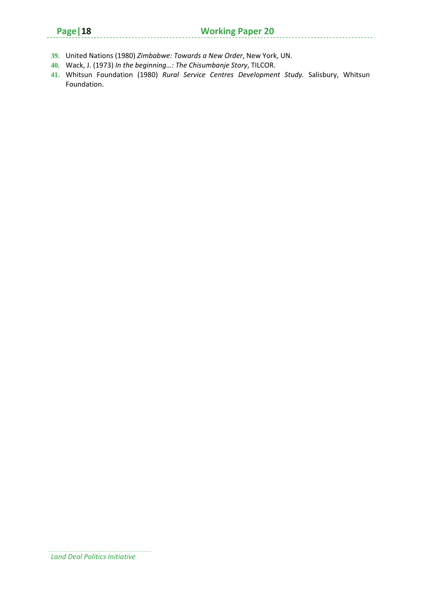. . . . . . . . . . . . .

- **39.** United Nations (1980) *Zimbabwe: Towards a New Order*, New York, UN.
- **40.** Wack, J. (1973) *In the beginning…: The Chisumbanje Story*, TILCOR.
- **41.** Whitsun Foundation (1980) *Rural Service Centres Development Study.* Salisbury, Whitsun Foundation.